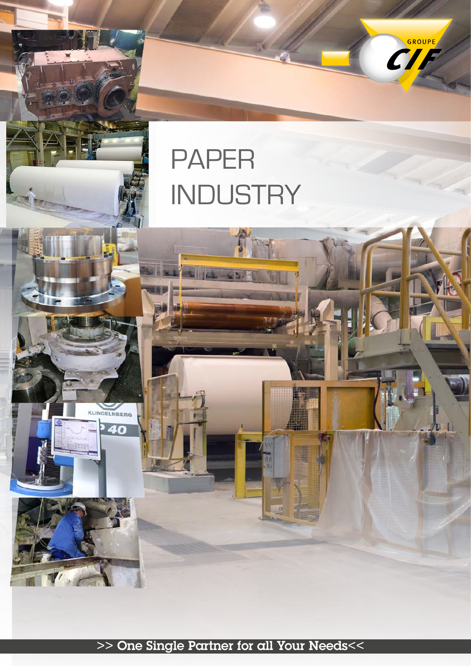# PAPER **INDUSTRY**

î

KLINGELNBERG

40

CHE

>> One Single Partner for all Your Needs<<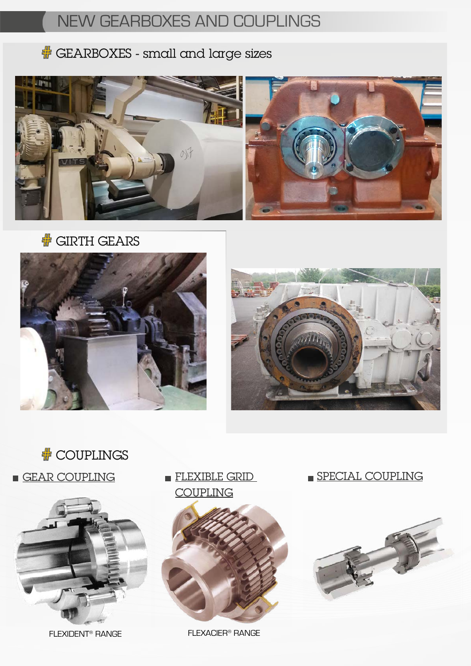# NEW GEARBOXES AND COUPLINGS

### **#** GEARBOXES - small and large sizes



**# GIRTH GEARS** 







FLEXIDENT® RANGE

**FLEXIBLE GRID COUPLING** 



FLEXACIER® RANGE

SPECIAL COUPLING

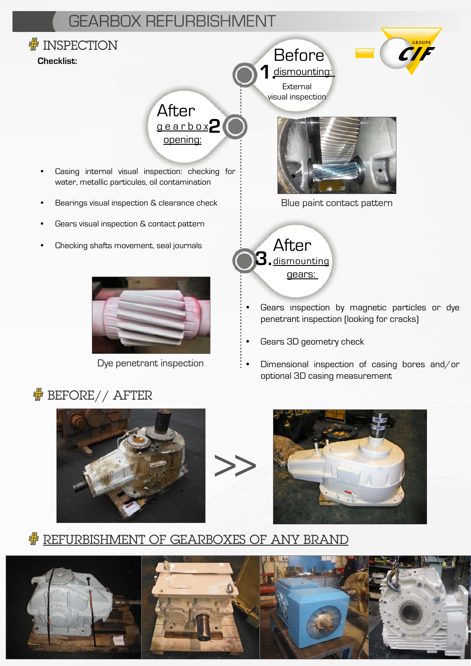# GEARBOX REFURBISHMENT



Dye penetrant inspection





optional 3D casing measurement

• Dimensional inspection of casing bores and/or

#### **# REFURBISHMENT OF GEARBOXES OF ANY BRAND**